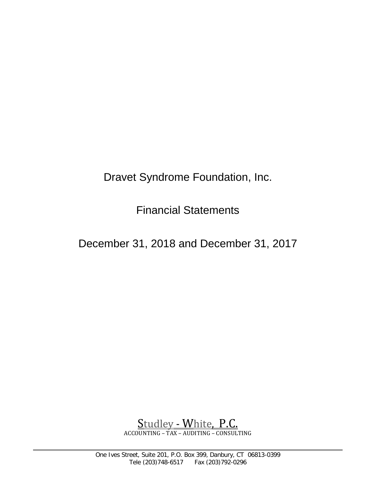Dravet Syndrome Foundation, Inc.

Financial Statements

December 31, 2018 and December 31, 2017



 $\overline{a}$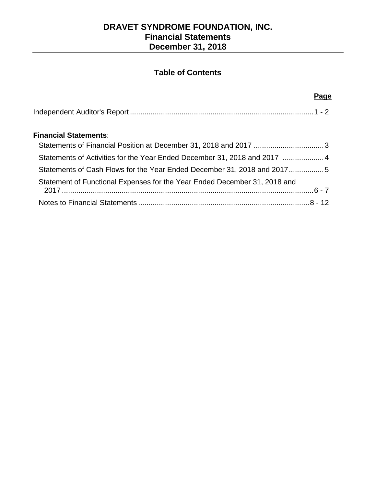## **DRAVET SYNDROME FOUNDATION, INC. Financial Statements December 31, 2018**

# **Table of Contents**

#### **Page** 2014 - Andre Stein Andre Stein Andre Stein Andre Stein Andre Stein Andre Stein Andre Stein Andre Stein A

### **Financial Statements**:

| Statements of Activities for the Year Ended December 31, 2018 and 2017  4 |  |
|---------------------------------------------------------------------------|--|
| Statements of Cash Flows for the Year Ended December 31, 2018 and 20175   |  |
| Statement of Functional Expenses for the Year Ended December 31, 2018 and |  |
|                                                                           |  |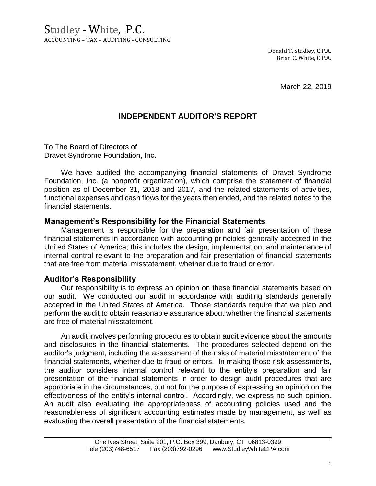Studley - White, P.C. ACCOUNTING – TAX – AUDITING - CONSULTING

> Donald T. Studley, C.P.A. Brian C. White, C.P.A.

> > March 22, 2019

### **INDEPENDENT AUDITOR'S REPORT**

To The Board of Directors of Dravet Syndrome Foundation, Inc.

We have audited the accompanying financial statements of Dravet Syndrome Foundation, Inc. (a nonprofit organization), which comprise the statement of financial position as of December 31, 2018 and 2017, and the related statements of activities, functional expenses and cash flows for the years then ended, and the related notes to the financial statements.

#### **Management's Responsibility for the Financial Statements**

Management is responsible for the preparation and fair presentation of these financial statements in accordance with accounting principles generally accepted in the United States of America; this includes the design, implementation, and maintenance of internal control relevant to the preparation and fair presentation of financial statements that are free from material misstatement, whether due to fraud or error.

#### **Auditor's Responsibility**

 $\overline{a}$ 

Our responsibility is to express an opinion on these financial statements based on our audit. We conducted our audit in accordance with auditing standards generally accepted in the United States of America. Those standards require that we plan and perform the audit to obtain reasonable assurance about whether the financial statements are free of material misstatement.

An audit involves performing procedures to obtain audit evidence about the amounts and disclosures in the financial statements. The procedures selected depend on the auditor's judgment, including the assessment of the risks of material misstatement of the financial statements, whether due to fraud or errors. In making those risk assessments, the auditor considers internal control relevant to the entity's preparation and fair presentation of the financial statements in order to design audit procedures that are appropriate in the circumstances, but not for the purpose of expressing an opinion on the effectiveness of the entity's internal control. Accordingly, we express no such opinion. An audit also evaluating the appropriateness of accounting policies used and the reasonableness of significant accounting estimates made by management, as well as evaluating the overall presentation of the financial statements.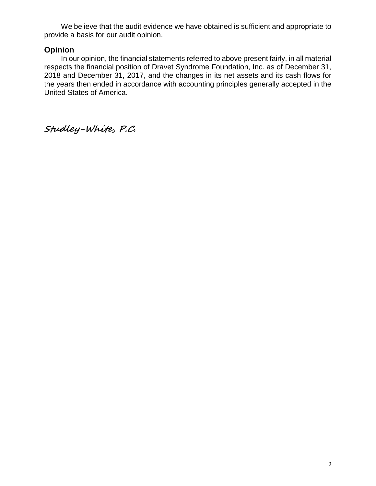We believe that the audit evidence we have obtained is sufficient and appropriate to provide a basis for our audit opinion.

### **Opinion**

In our opinion, the financial statements referred to above present fairly, in all material respects the financial position of Dravet Syndrome Foundation, Inc. as of December 31, 2018 and December 31, 2017, and the changes in its net assets and its cash flows for the years then ended in accordance with accounting principles generally accepted in the United States of America.

**Studley-White, P.C.**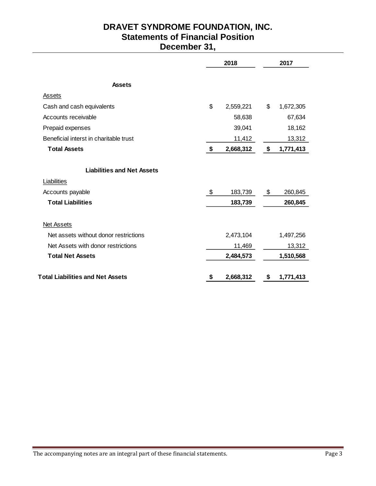## **DRAVET SYNDROME FOUNDATION, INC. Statements of Financial Position December 31,**

|                                        | 2018            | 2017                             |
|----------------------------------------|-----------------|----------------------------------|
| <b>Assets</b>                          |                 |                                  |
| <b>Assets</b>                          |                 |                                  |
| Cash and cash equivalents              | \$<br>2,559,221 | \$<br>1,672,305                  |
| Accounts receivable                    | 58,638          | 67,634                           |
| Prepaid expenses                       | 39,041          | 18,162                           |
| Beneficial interst in charitable trust | 11,412          | 13,312                           |
| <b>Total Assets</b>                    | \$<br>2,668,312 | \$<br>1,771,413                  |
| Accounts payable                       | \$<br>183,739   | \$                               |
| <b>Liabilities</b>                     |                 |                                  |
|                                        |                 | 260,845                          |
| <b>Total Liabilities</b>               | 183,739         | 260,845                          |
| Net Assets                             |                 |                                  |
| Net assets without donor restrictions  | 2,473,104       |                                  |
| Net Assets with donor restrictions     | 11,469          |                                  |
| <b>Total Net Assets</b>                | 2,484,573       | 1,497,256<br>13,312<br>1,510,568 |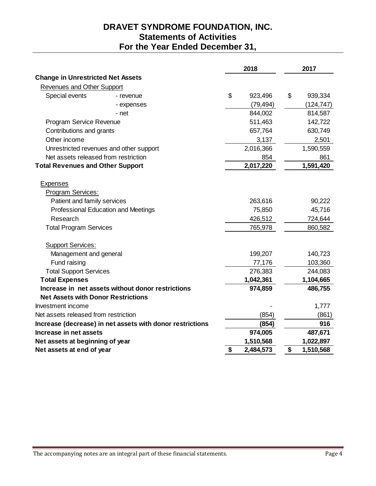## **DRAVET SYNDROME FOUNDATION, INC. Statements of Activities For the Year Ended December 31,**

|                                           |                                                           | 2018            | 2017            |
|-------------------------------------------|-----------------------------------------------------------|-----------------|-----------------|
| <b>Change in Unrestricted Net Assets</b>  |                                                           |                 |                 |
| Revenues and Other Support                |                                                           |                 |                 |
| Special events                            | - revenue                                                 | \$<br>923,496   | \$<br>939,334   |
|                                           | - expenses                                                | (79, 494)       | (124, 747)      |
|                                           | - net                                                     | 844,002         | 814,587         |
| Program Service Revenue                   |                                                           | 511,463         | 142,722         |
| Contributions and grants                  |                                                           | 657,764         | 630,749         |
| Other income                              |                                                           | 3,137           | 2,501           |
|                                           | Unrestricted revenues and other support                   | 2,016,366       | 1,590,559       |
| Net assets released from restriction      |                                                           | 854             | 861             |
| <b>Total Revenues and Other Support</b>   |                                                           | 2,017,220       | 1,591,420       |
| <b>Expenses</b>                           |                                                           |                 |                 |
| Program Services:                         |                                                           |                 |                 |
| Patient and family services               |                                                           | 263,616         | 90,222          |
|                                           | Professional Education and Meetings                       | 75,850          | 45,716          |
| Research                                  |                                                           | 426,512         | 724,644         |
| <b>Total Program Services</b>             |                                                           | 765,978         | 860,582         |
| <b>Support Services:</b>                  |                                                           |                 |                 |
| Management and general                    |                                                           | 199,207         | 140,723         |
| Fund raising                              |                                                           | 77,176          | 103,360         |
| <b>Total Support Services</b>             |                                                           | 276,383         | 244,083         |
| <b>Total Expenses</b>                     |                                                           | 1,042,361       | 1,104,665       |
|                                           | Increase in net assets without donor restrictions         | 974,859         | 486,755         |
| <b>Net Assets with Donor Restrictions</b> |                                                           |                 |                 |
| Investment income                         |                                                           |                 | 1,777           |
| Net assets released from restriction      |                                                           | (854)           | (861)           |
|                                           | Increase (decrease) in net assets with donor restrictions | (854)           | 916             |
| Increase in net assets                    |                                                           | 974,005         | 487,671         |
| Net assets at beginning of year           |                                                           | 1,510,568       | 1,022,897       |
| Net assets at end of year                 |                                                           | \$<br>2,484,573 | \$<br>1,510,568 |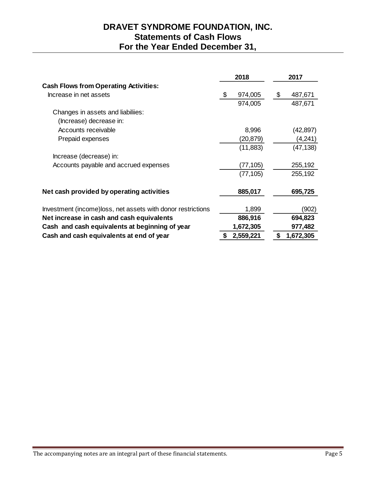## **DRAVET SYNDROME FOUNDATION, INC. Statements of Cash Flows For the Year Ended December 31,**

|                                                              | 2018          | 2017            |
|--------------------------------------------------------------|---------------|-----------------|
| <b>Cash Flows from Operating Activities:</b>                 |               |                 |
| Increase in net assets                                       | \$<br>974,005 | \$<br>487,671   |
|                                                              | 974,005       | 487,671         |
| Changes in assets and liabiliies:                            |               |                 |
| (Increase) decrease in:                                      |               |                 |
| Accounts receivable                                          | 8,996         | (42,897)        |
| Prepaid expenses                                             | (20,879)      | (4,241)         |
|                                                              | (11, 883)     | (47, 138)       |
| Increase (decrease) in:                                      |               |                 |
| Accounts payable and accrued expenses                        | (77,105)      | 255,192         |
|                                                              | (77, 105)     | 255,192         |
| Net cash provided by operating activities                    | 885,017       | 695,725         |
| Investment (income) loss, net assets with donor restrictions | 1,899         | (902)           |
| Net increase in cash and cash equivalents                    | 886,916       | 694,823         |
| Cash and cash equivalents at beginning of year               | 1,672,305     | 977,482         |
| Cash and cash equivalents at end of year                     | 2,559,221     | \$<br>1,672,305 |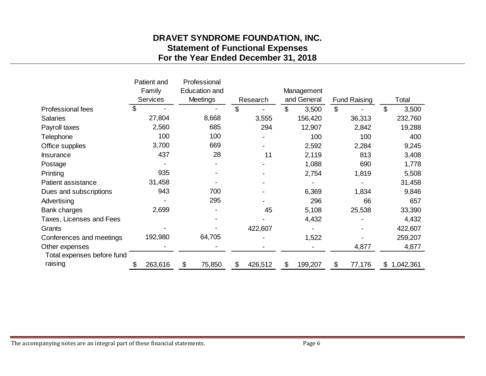# **DRAVET SYNDROME FOUNDATION, INC. Statement of Functional Expenses For the Year Ended December 31, 2018**

|                            | Patient and   | Professional    |               |               |                     |              |           |
|----------------------------|---------------|-----------------|---------------|---------------|---------------------|--------------|-----------|
|                            | Family        | Education and   |               | Management    |                     |              |           |
|                            | Services      | <b>Meetings</b> | Research      | and General   | <b>Fund Raising</b> |              | Total     |
| <b>Professional fees</b>   | \$            |                 | \$            | \$<br>3,500   | \$                  | $\mathbb{S}$ | 3,500     |
| <b>Salaries</b>            | 27,804        | 8,668           | 3,555         | 156,420       | 36,313              |              | 232,760   |
| Payroll taxes              | 2,560         | 685             | 294           | 12,907        | 2,842               |              | 19,288    |
| Telephone                  | 100           | 100             |               | 100           | 100                 |              | 400       |
| Office supplies            | 3,700         | 669             |               | 2,592         | 2,284               |              | 9,245     |
| Insurance                  | 437           | 28              | 11            | 2,119         | 813                 |              | 3,408     |
| Postage                    |               |                 |               | 1,088         | 690                 |              | 1,778     |
| Printing                   | 935           |                 |               | 2,754         | 1,819               |              | 5,508     |
| Patient assistance         | 31,458        |                 |               |               |                     |              | 31,458    |
| Dues and subscriptions     | 943           | 700             |               | 6,369         | 1,834               |              | 9,846     |
| Advertising                |               | 295             |               | 296           | 66                  |              | 657       |
| Bank charges               | 2,699         |                 | 45            | 5,108         | 25,538              |              | 33,390    |
| Taxes, Licenses and Fees   |               |                 |               | 4,432         |                     |              | 4,432     |
| Grants                     |               |                 | 422,607       |               |                     |              | 422,607   |
| Conferences and meetings   | 192,980       | 64,705          |               | 1,522         |                     |              | 259,207   |
| Other expenses             |               |                 |               |               | 4,877               |              | 4,877     |
| Total expenses before fund |               |                 |               |               |                     |              |           |
| raising                    | \$<br>263,616 | \$<br>75,850    | \$<br>426,512 | \$<br>199,207 | \$<br>77,176        | \$           | 1,042,361 |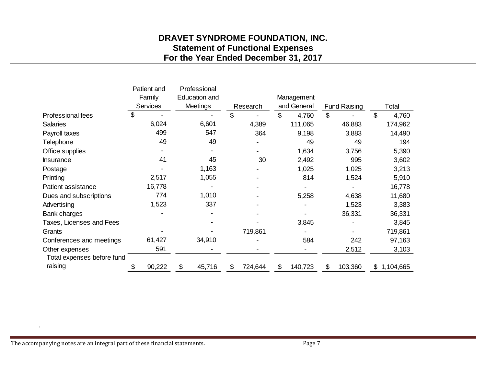# **DRAVET SYNDROME FOUNDATION, INC. Statement of Functional Expenses For the Year Ended December 31, 2017**

| Family<br><b>Education and</b><br>Management<br><b>Meetings</b><br>and General<br>Services<br><b>Fund Raising</b><br>Research<br>\$<br>\$<br>\$<br>\$<br>\$<br>4,760<br>Professional fees<br>6,024<br>6,601<br>4,389<br>111,065<br>46,883<br><b>Salaries</b><br>499<br>547<br>Payroll taxes<br>364<br>9,198<br>3,883 |           |
|----------------------------------------------------------------------------------------------------------------------------------------------------------------------------------------------------------------------------------------------------------------------------------------------------------------------|-----------|
|                                                                                                                                                                                                                                                                                                                      |           |
|                                                                                                                                                                                                                                                                                                                      | Total     |
|                                                                                                                                                                                                                                                                                                                      | 4,760     |
|                                                                                                                                                                                                                                                                                                                      | 174,962   |
|                                                                                                                                                                                                                                                                                                                      | 14,490    |
| 49<br>49<br>49<br>Telephone<br>49                                                                                                                                                                                                                                                                                    | 194       |
| 1,634<br>3,756<br>Office supplies                                                                                                                                                                                                                                                                                    | 5,390     |
| 41<br>45<br>995<br>30<br>2,492<br>Insurance                                                                                                                                                                                                                                                                          | 3,602     |
| 1,163<br>1,025<br>1,025<br>Postage                                                                                                                                                                                                                                                                                   | 3,213     |
| 1,055<br>2,517<br>814<br>1,524<br>Printing                                                                                                                                                                                                                                                                           | 5,910     |
| 16,778<br>Patient assistance                                                                                                                                                                                                                                                                                         | 16,778    |
| 774<br>1,010<br>5,258<br>4,638<br>Dues and subscriptions                                                                                                                                                                                                                                                             | 11,680    |
| 1,523<br>337<br>Advertising<br>1,523                                                                                                                                                                                                                                                                                 | 3,383     |
| Bank charges<br>36,331                                                                                                                                                                                                                                                                                               | 36,331    |
| Taxes, Licenses and Fees<br>3,845                                                                                                                                                                                                                                                                                    | 3,845     |
| 719,861<br>Grants                                                                                                                                                                                                                                                                                                    | 719,861   |
| 61,427<br>34,910<br>584<br>242<br>Conferences and meetings                                                                                                                                                                                                                                                           | 97,163    |
| 591<br>2,512<br>Other expenses                                                                                                                                                                                                                                                                                       | 3,103     |
| Total expenses before fund                                                                                                                                                                                                                                                                                           |           |
| raising<br>\$<br>90,222<br>\$<br>45,716<br>724,644<br>\$<br>140,723<br>103,360<br>\$<br>S                                                                                                                                                                                                                            | 1,104,665 |

.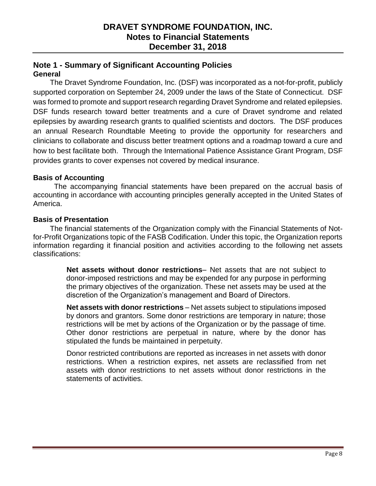### **Note 1 - Summary of Significant Accounting Policies General**

The Dravet Syndrome Foundation, Inc. (DSF) was incorporated as a not-for-profit, publicly supported corporation on September 24, 2009 under the laws of the State of Connecticut. DSF was formed to promote and support research regarding Dravet Syndrome and related epilepsies. DSF funds research toward better treatments and a cure of Dravet syndrome and related epilepsies by awarding research grants to qualified scientists and doctors. The DSF produces an annual Research Roundtable Meeting to provide the opportunity for researchers and clinicians to collaborate and discuss better treatment options and a roadmap toward a cure and how to best facilitate both. Through the International Patience Assistance Grant Program, DSF provides grants to cover expenses not covered by medical insurance.

#### **Basis of Accounting**

 The accompanying financial statements have been prepared on the accrual basis of accounting in accordance with accounting principles generally accepted in the United States of America.

#### **Basis of Presentation**

The financial statements of the Organization comply with the Financial Statements of Notfor-Profit Organizations topic of the FASB Codification. Under this topic, the Organization reports information regarding it financial position and activities according to the following net assets classifications:

> **Net assets without donor restrictions**– Net assets that are not subject to donor-imposed restrictions and may be expended for any purpose in performing the primary objectives of the organization. These net assets may be used at the discretion of the Organization's management and Board of Directors.

> **Net assets with donor restrictions** – Net assets subject to stipulations imposed by donors and grantors. Some donor restrictions are temporary in nature; those restrictions will be met by actions of the Organization or by the passage of time. Other donor restrictions are perpetual in nature, where by the donor has stipulated the funds be maintained in perpetuity.

> Donor restricted contributions are reported as increases in net assets with donor restrictions. When a restriction expires, net assets are reclassified from net assets with donor restrictions to net assets without donor restrictions in the statements of activities.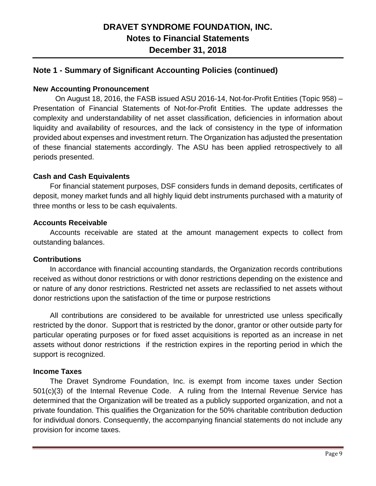# **DRAVET SYNDROME FOUNDATION, INC. Notes to Financial Statements December 31, 2018**

### **Note 1 - Summary of Significant Accounting Policies (continued)**

#### **New Accounting Pronouncement**

 On August 18, 2016, the FASB issued ASU 2016-14, Not-for-Profit Entities (Topic 958) – Presentation of Financial Statements of Not-for-Profit Entities. The update addresses the complexity and understandability of net asset classification, deficiencies in information about liquidity and availability of resources, and the lack of consistency in the type of information provided about expenses and investment return. The Organization has adjusted the presentation of these financial statements accordingly. The ASU has been applied retrospectively to all periods presented.

#### **Cash and Cash Equivalents**

For financial statement purposes, DSF considers funds in demand deposits, certificates of deposit, money market funds and all highly liquid debt instruments purchased with a maturity of three months or less to be cash equivalents.

#### **Accounts Receivable**

Accounts receivable are stated at the amount management expects to collect from outstanding balances.

#### **Contributions**

In accordance with financial accounting standards, the Organization records contributions received as without donor restrictions or with donor restrictions depending on the existence and or nature of any donor restrictions. Restricted net assets are reclassified to net assets without donor restrictions upon the satisfaction of the time or purpose restrictions

All contributions are considered to be available for unrestricted use unless specifically restricted by the donor. Support that is restricted by the donor, grantor or other outside party for particular operating purposes or for fixed asset acquisitions is reported as an increase in net assets without donor restrictions if the restriction expires in the reporting period in which the support is recognized.

#### **Income Taxes**

The Dravet Syndrome Foundation, Inc. is exempt from income taxes under Section 501(c)(3) of the Internal Revenue Code. A ruling from the Internal Revenue Service has determined that the Organization will be treated as a publicly supported organization, and not a private foundation. This qualifies the Organization for the 50% charitable contribution deduction for individual donors. Consequently, the accompanying financial statements do not include any provision for income taxes.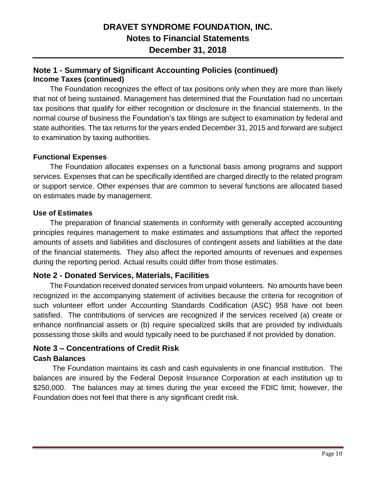### **Note 1 - Summary of Significant Accounting Policies (continued) Income Taxes (continued)**

The Foundation recognizes the effect of tax positions only when they are more than likely that not of being sustained. Management has determined that the Foundation had no uncertain tax positions that qualify for either recognition or disclosure in the financial statements. In the normal course of business the Foundation's tax filings are subject to examination by federal and state authorities. The tax returns for the years ended December 31, 2015 and forward are subject to examination by taxing authorities.

#### **Functional Expenses**

The Foundation allocates expenses on a functional basis among programs and support services. Expenses that can be specifically identified are charged directly to the related program or support service. Other expenses that are common to several functions are allocated based on estimates made by management.

#### **Use of Estimates**

The preparation of financial statements in conformity with generally accepted accounting principles requires management to make estimates and assumptions that affect the reported amounts of assets and liabilities and disclosures of contingent assets and liabilities at the date of the financial statements. They also affect the reported amounts of revenues and expenses during the reporting period. Actual results could differ from those estimates.

#### **Note 2 - Donated Services, Materials, Facilities**

The Foundation received donated services from unpaid volunteers. No amounts have been recognized in the accompanying statement of activities because the criteria for recognition of such volunteer effort under Accounting Standards Codification (ASC) 958 have not been satisfied. The contributions of services are recognized if the services received (a) create or enhance nonfinancial assets or (b) require specialized skills that are provided by individuals possessing those skills and would typically need to be purchased if not provided by donation.

# **Note 3 – Concentrations of Credit Risk**

#### **Cash Balances**

The Foundation maintains its cash and cash equivalents in one financial institution. The balances are insured by the Federal Deposit Insurance Corporation at each institution up to \$250,000. The balances may at times during the year exceed the FDIC limit; however, the Foundation does not feel that there is any significant credit risk.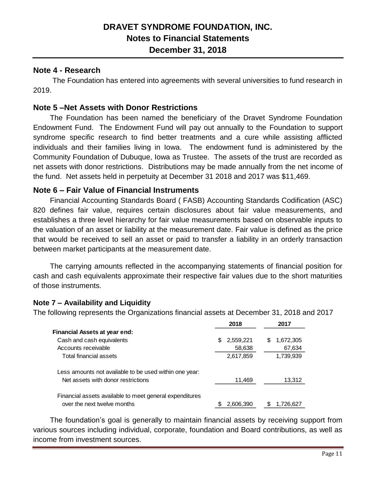# **DRAVET SYNDROME FOUNDATION, INC. Notes to Financial Statements December 31, 2018**

#### **Note 4 - Research**

The Foundation has entered into agreements with several universities to fund research in 2019.

#### **Note 5 –Net Assets with Donor Restrictions**

The Foundation has been named the beneficiary of the Dravet Syndrome Foundation Endowment Fund. The Endowment Fund will pay out annually to the Foundation to support syndrome specific research to find better treatments and a cure while assisting afflicted individuals and their families living in Iowa. The endowment fund is administered by the Community Foundation of Dubuque, Iowa as Trustee. The assets of the trust are recorded as net assets with donor restrictions. Distributions may be made annually from the net income of the fund. Net assets held in perpetuity at December 31 2018 and 2017 was \$11,469.

#### **Note 6 – Fair Value of Financial Instruments**

Financial Accounting Standards Board ( FASB) Accounting Standards Codification (ASC) 820 defines fair value, requires certain disclosures about fair value measurements, and establishes a three level hierarchy for fair value measurements based on observable inputs to the valuation of an asset or liability at the measurement date. Fair value is defined as the price that would be received to sell an asset or paid to transfer a liability in an orderly transaction between market participants at the measurement date.

The carrying amounts reflected in the accompanying statements of financial position for cash and cash equivalents approximate their respective fair values due to the short maturities of those instruments.

#### **Note 7 – Availability and Liquidity**

The following represents the Organizations financial assets at December 31, 2018 and 2017

|                                                         | 2018            | 2017           |
|---------------------------------------------------------|-----------------|----------------|
| Financial Assets at year end:                           |                 |                |
| Cash and cash equivalents                               | 2,559,221<br>S. | 1,672,305<br>S |
| Accounts receivable                                     | 58,638          | 67,634         |
| Total financial assets                                  | 2,617,859       | 1,739,939      |
| Less amounts not available to be used within one year:  |                 |                |
| Net assets with donor restrictions                      | 11,469          | 13,312         |
| Financial assets available to meet general expenditures |                 |                |
| over the next twelve months                             | 2,606,390       | 1,726,627      |

The foundation's goal is generally to maintain financial assets by receiving support from various sources including individual, corporate, foundation and Board contributions, as well as income from investment sources.